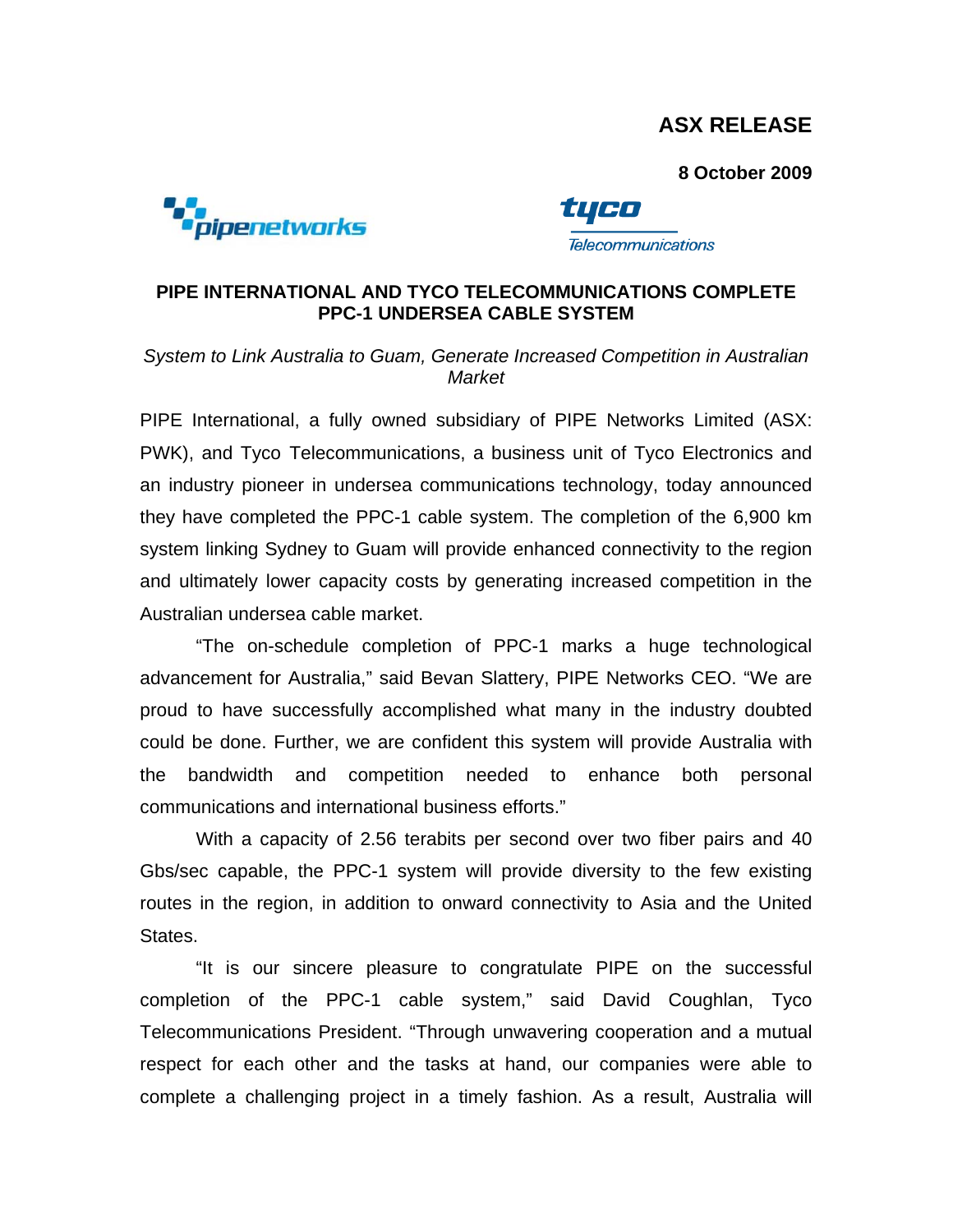# **ASX RELEASE**

**8 October 2009** 





**Telecommunications** 

## **PIPE INTERNATIONAL AND TYCO TELECOMMUNICATIONS COMPLETE PPC-1 UNDERSEA CABLE SYSTEM**

### *System to Link Australia to Guam, Generate Increased Competition in Australian Market*

PIPE International, a fully owned subsidiary of PIPE Networks Limited (ASX: PWK), and Tyco Telecommunications, a business unit of Tyco Electronics and an industry pioneer in undersea communications technology, today announced they have completed the PPC-1 cable system. The completion of the 6,900 km system linking Sydney to Guam will provide enhanced connectivity to the region and ultimately lower capacity costs by generating increased competition in the Australian undersea cable market.

 "The on-schedule completion of PPC-1 marks a huge technological advancement for Australia," said Bevan Slattery, PIPE Networks CEO. "We are proud to have successfully accomplished what many in the industry doubted could be done. Further, we are confident this system will provide Australia with the bandwidth and competition needed to enhance both personal communications and international business efforts."

 With a capacity of 2.56 terabits per second over two fiber pairs and 40 Gbs/sec capable, the PPC-1 system will provide diversity to the few existing routes in the region, in addition to onward connectivity to Asia and the United States.

 "It is our sincere pleasure to congratulate PIPE on the successful completion of the PPC-1 cable system," said David Coughlan, Tyco Telecommunications President. "Through unwavering cooperation and a mutual respect for each other and the tasks at hand, our companies were able to complete a challenging project in a timely fashion. As a result, Australia will